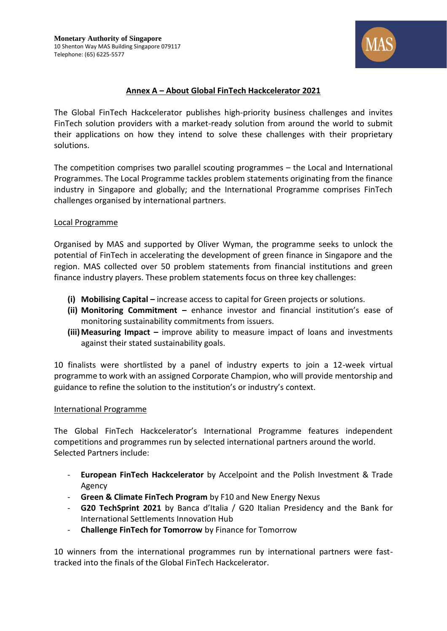

# **Annex A – About Global FinTech Hackcelerator 2021**

The Global FinTech Hackcelerator publishes high-priority business challenges and invites FinTech solution providers with a market-ready solution from around the world to submit their applications on how they intend to solve these challenges with their proprietary solutions.

The competition comprises two parallel scouting programmes – the Local and International Programmes. The Local Programme tackles problem statements originating from the finance industry in Singapore and globally; and the International Programme comprises FinTech challenges organised by international partners.

#### Local Programme

Organised by MAS and supported by Oliver Wyman, the programme seeks to unlock the potential of FinTech in accelerating the development of green finance in Singapore and the region. MAS collected over 50 problem statements from financial institutions and green finance industry players. These problem statements focus on three key challenges:

- **(i) Mobilising Capital –** increase access to capital for Green projects or solutions.
- **(ii) Monitoring Commitment –** enhance investor and financial institution's ease of monitoring sustainability commitments from issuers.
- **(iii)Measuring Impact –** improve ability to measure impact of loans and investments against their stated sustainability goals.

10 finalists were shortlisted by a panel of industry experts to join a 12-week virtual programme to work with an assigned Corporate Champion, who will provide mentorship and guidance to refine the solution to the institution's or industry's context.

#### International Programme

The Global FinTech Hackcelerator's International Programme features independent competitions and programmes run by selected international partners around the world. Selected Partners include:

- **European FinTech Hackcelerator** by Accelpoint and the Polish Investment & Trade Agency
- **Green & Climate FinTech Program** by F10 and New Energy Nexus
- **G20 TechSprint 2021** by Banca d'Italia / G20 Italian Presidency and the Bank for International Settlements Innovation Hub
- **Challenge FinTech for Tomorrow** by Finance for Tomorrow

10 winners from the international programmes run by international partners were fasttracked into the finals of the Global FinTech Hackcelerator.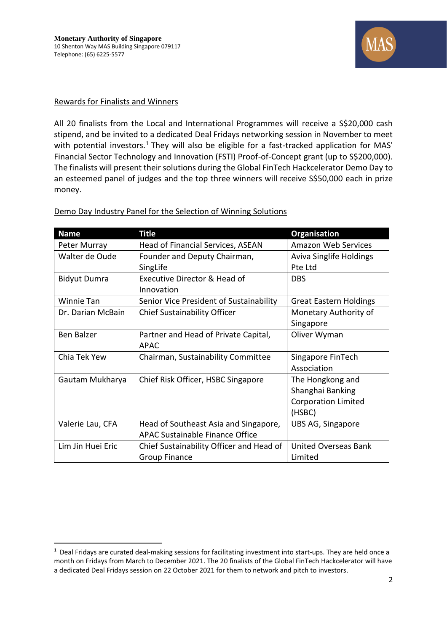

#### Rewards for Finalists and Winners

All 20 finalists from the Local and International Programmes will receive a S\$20,000 cash stipend, and be invited to a dedicated Deal Fridays networking session in November to meet with potential investors.<sup>1</sup> They will also be eligible for a fast-tracked application for MAS' Financial Sector Technology and Innovation (FSTI) Proof-of-Concept grant (up to S\$200,000). The finalists will present their solutions during the Global FinTech Hackcelerator Demo Day to an esteemed panel of judges and the top three winners will receive S\$50,000 each in prize money.

| <b>Name</b>         | <b>Title</b>                             | <b>Organisation</b>            |
|---------------------|------------------------------------------|--------------------------------|
| Peter Murray        | Head of Financial Services, ASEAN        | <b>Amazon Web Services</b>     |
| Walter de Oude      | Founder and Deputy Chairman,             | <b>Aviva Singlife Holdings</b> |
|                     | SingLife                                 | Pte Ltd                        |
| <b>Bidyut Dumra</b> | Executive Director & Head of             | <b>DBS</b>                     |
|                     | Innovation                               |                                |
| <b>Winnie Tan</b>   | Senior Vice President of Sustainability  | <b>Great Eastern Holdings</b>  |
| Dr. Darian McBain   | <b>Chief Sustainability Officer</b>      | Monetary Authority of          |
|                     |                                          | Singapore                      |
| <b>Ben Balzer</b>   | Partner and Head of Private Capital,     | Oliver Wyman                   |
|                     | <b>APAC</b>                              |                                |
| Chia Tek Yew        | Chairman, Sustainability Committee       | Singapore FinTech              |
|                     |                                          | Association                    |
| Gautam Mukharya     | Chief Risk Officer, HSBC Singapore       | The Hongkong and               |
|                     |                                          | Shanghai Banking               |
|                     |                                          | <b>Corporation Limited</b>     |
|                     |                                          | (HSBC)                         |
| Valerie Lau, CFA    | Head of Southeast Asia and Singapore,    | UBS AG, Singapore              |
|                     | <b>APAC Sustainable Finance Office</b>   |                                |
| Lim Jin Huei Eric   | Chief Sustainability Officer and Head of | United Overseas Bank           |
|                     | <b>Group Finance</b>                     | Limited                        |

Demo Day Industry Panel for the Selection of Winning Solutions

 $1$  Deal Fridays are curated deal-making sessions for facilitating investment into start-ups. They are held once a month on Fridays from March to December 2021. The 20 finalists of the Global FinTech Hackcelerator will have a dedicated Deal Fridays session on 22 October 2021 for them to network and pitch to investors.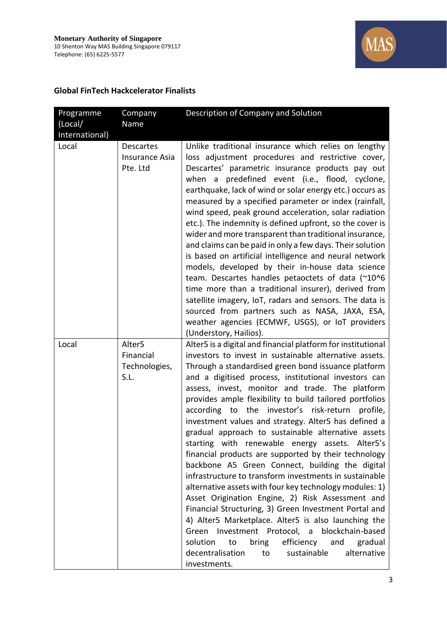

#### **Global FinTech Hackcelerator Finalists**

| Programme<br>(Local/<br>International) | Company<br>Name                                          | Description of Company and Solution                                                                                                                                                                                                                                                                                                                                                                                                                                                                                                                                                                                                                                                                                                                                                                                                                                                                                                                                                                                                                                                                                                                                 |
|----------------------------------------|----------------------------------------------------------|---------------------------------------------------------------------------------------------------------------------------------------------------------------------------------------------------------------------------------------------------------------------------------------------------------------------------------------------------------------------------------------------------------------------------------------------------------------------------------------------------------------------------------------------------------------------------------------------------------------------------------------------------------------------------------------------------------------------------------------------------------------------------------------------------------------------------------------------------------------------------------------------------------------------------------------------------------------------------------------------------------------------------------------------------------------------------------------------------------------------------------------------------------------------|
| Local                                  | <b>Descartes</b><br><b>Insurance Asia</b><br>Pte. Ltd    | Unlike traditional insurance which relies on lengthy<br>loss adjustment procedures and restrictive cover,<br>Descartes' parametric insurance products pay out<br>when a predefined event (i.e., flood, cyclone,<br>earthquake, lack of wind or solar energy etc.) occurs as<br>measured by a specified parameter or index (rainfall,<br>wind speed, peak ground acceleration, solar radiation<br>etc.). The indemnity is defined upfront, so the cover is<br>wider and more transparent than traditional insurance,<br>and claims can be paid in only a few days. Their solution<br>is based on artificial intelligence and neural network<br>models, developed by their in-house data science<br>team. Descartes handles petaoctets of data (~10^6<br>time more than a traditional insurer), derived from<br>satellite imagery, IoT, radars and sensors. The data is<br>sourced from partners such as NASA, JAXA, ESA,<br>weather agencies (ECMWF, USGS), or IoT providers<br>(Understory, Hailios).                                                                                                                                                               |
| Local                                  | Alter <sub>5</sub><br>Financial<br>Technologies,<br>S.L. | Alter5 is a digital and financial platform for institutional<br>investors to invest in sustainable alternative assets.<br>Through a standardised green bond issuance platform<br>and a digitised process, institutional investors can<br>assess, invest, monitor and trade. The platform<br>provides ample flexibility to build tailored portfolios<br>according to the investor's risk-return<br>profile,<br>investment values and strategy. Alter5 has defined a<br>gradual approach to sustainable alternative assets<br>starting with renewable energy assets. Alter5's<br>financial products are supported by their technology<br>backbone A5 Green Connect, building the digital<br>infrastructure to transform investments in sustainable<br>alternative assets with four key technology modules: 1)<br>Asset Origination Engine, 2) Risk Assessment and<br>Financial Structuring, 3) Green Investment Portal and<br>4) Alter5 Marketplace. Alter5 is also launching the<br>Green Investment Protocol, a blockchain-based<br>solution<br>bring<br>efficiency<br>to<br>and<br>gradual<br>decentralisation<br>sustainable<br>alternative<br>to<br>investments. |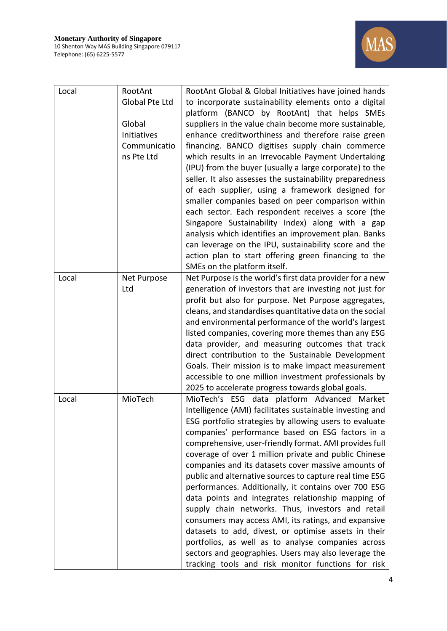

| Local | RootAnt               | RootAnt Global & Global Initiatives have joined hands                                                       |
|-------|-----------------------|-------------------------------------------------------------------------------------------------------------|
|       | <b>Global Pte Ltd</b> | to incorporate sustainability elements onto a digital                                                       |
|       |                       | platform (BANCO by RootAnt) that helps SMEs                                                                 |
|       | Global                | suppliers in the value chain become more sustainable,                                                       |
|       | Initiatives           | enhance creditworthiness and therefore raise green                                                          |
|       | Communicatio          | financing. BANCO digitises supply chain commerce                                                            |
|       | ns Pte Ltd            | which results in an Irrevocable Payment Undertaking                                                         |
|       |                       | (IPU) from the buyer (usually a large corporate) to the                                                     |
|       |                       | seller. It also assesses the sustainability preparedness                                                    |
|       |                       | of each supplier, using a framework designed for                                                            |
|       |                       | smaller companies based on peer comparison within                                                           |
|       |                       | each sector. Each respondent receives a score (the                                                          |
|       |                       | Singapore Sustainability Index) along with a gap                                                            |
|       |                       | analysis which identifies an improvement plan. Banks                                                        |
|       |                       | can leverage on the IPU, sustainability score and the                                                       |
|       |                       | action plan to start offering green financing to the                                                        |
|       |                       | SMEs on the platform itself.                                                                                |
| Local | Net Purpose           | Net Purpose is the world's first data provider for a new                                                    |
|       | Ltd                   | generation of investors that are investing not just for                                                     |
|       |                       | profit but also for purpose. Net Purpose aggregates,                                                        |
|       |                       | cleans, and standardises quantitative data on the social                                                    |
|       |                       | and environmental performance of the world's largest                                                        |
|       |                       | listed companies, covering more themes than any ESG                                                         |
|       |                       | data provider, and measuring outcomes that track                                                            |
|       |                       | direct contribution to the Sustainable Development                                                          |
|       |                       | Goals. Their mission is to make impact measurement<br>accessible to one million investment professionals by |
|       |                       | 2025 to accelerate progress towards global goals.                                                           |
| Local | MioTech               | MioTech's ESG data platform Advanced Market                                                                 |
|       |                       | Intelligence (AMI) facilitates sustainable investing and                                                    |
|       |                       | ESG portfolio strategies by allowing users to evaluate                                                      |
|       |                       | companies' performance based on ESG factors in a                                                            |
|       |                       | comprehensive, user-friendly format. AMI provides full                                                      |
|       |                       | coverage of over 1 million private and public Chinese                                                       |
|       |                       | companies and its datasets cover massive amounts of                                                         |
|       |                       | public and alternative sources to capture real time ESG                                                     |
|       |                       | performances. Additionally, it contains over 700 ESG                                                        |
|       |                       | data points and integrates relationship mapping of                                                          |
|       |                       | supply chain networks. Thus, investors and retail                                                           |
|       |                       | consumers may access AMI, its ratings, and expansive                                                        |
|       |                       | datasets to add, divest, or optimise assets in their                                                        |
|       |                       | portfolios, as well as to analyse companies across                                                          |
|       |                       | sectors and geographies. Users may also leverage the                                                        |
|       |                       | tracking tools and risk monitor functions for risk                                                          |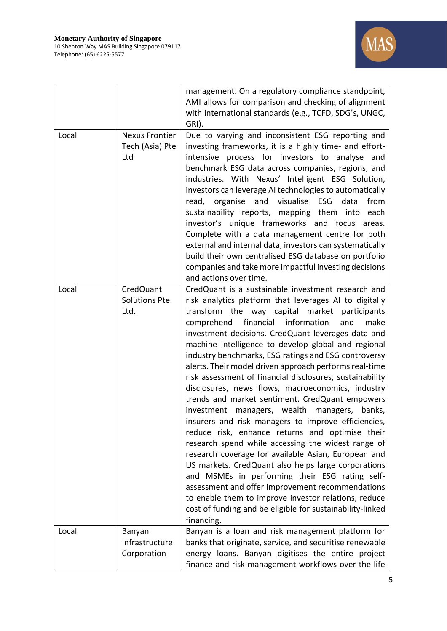

|       |                                                 | management. On a regulatory compliance standpoint,<br>AMI allows for comparison and checking of alignment<br>with international standards (e.g., TCFD, SDG's, UNGC,<br>GRI).                                                                                                                                                                                                                                                                                                                                                                                                                                                                                                                                                                                                                                                                                                                                                                                                                                                                                                                                                                                                                     |
|-------|-------------------------------------------------|--------------------------------------------------------------------------------------------------------------------------------------------------------------------------------------------------------------------------------------------------------------------------------------------------------------------------------------------------------------------------------------------------------------------------------------------------------------------------------------------------------------------------------------------------------------------------------------------------------------------------------------------------------------------------------------------------------------------------------------------------------------------------------------------------------------------------------------------------------------------------------------------------------------------------------------------------------------------------------------------------------------------------------------------------------------------------------------------------------------------------------------------------------------------------------------------------|
| Local | <b>Nexus Frontier</b><br>Tech (Asia) Pte<br>Ltd | Due to varying and inconsistent ESG reporting and<br>investing frameworks, it is a highly time- and effort-<br>intensive process for investors to analyse and<br>benchmark ESG data across companies, regions, and<br>industries. With Nexus' Intelligent ESG Solution,<br>investors can leverage AI technologies to automatically<br>and visualise<br>read, organise<br>ESG<br>data<br>from<br>sustainability reports, mapping them into each<br>investor's unique frameworks and focus areas.<br>Complete with a data management centre for both<br>external and internal data, investors can systematically<br>build their own centralised ESG database on portfolio<br>companies and take more impactful investing decisions<br>and actions over time.                                                                                                                                                                                                                                                                                                                                                                                                                                       |
| Local | CredQuant<br>Solutions Pte.<br>Ltd.             | CredQuant is a sustainable investment research and<br>risk analytics platform that leverages AI to digitally<br>transform the way capital market participants<br>financial<br>comprehend<br>information<br>make<br>and<br>investment decisions. CredQuant leverages data and<br>machine intelligence to develop global and regional<br>industry benchmarks, ESG ratings and ESG controversy<br>alerts. Their model driven approach performs real-time<br>risk assessment of financial disclosures, sustainability<br>disclosures, news flows, macroeconomics, industry<br>trends and market sentiment. CredQuant empowers<br>investment managers, wealth managers, banks,<br>insurers and risk managers to improve efficiencies,<br>reduce risk, enhance returns and optimise their<br>research spend while accessing the widest range of<br>research coverage for available Asian, European and<br>US markets. CredQuant also helps large corporations<br>and MSMEs in performing their ESG rating self-<br>assessment and offer improvement recommendations<br>to enable them to improve investor relations, reduce<br>cost of funding and be eligible for sustainability-linked<br>financing. |
| Local | Banyan<br>Infrastructure<br>Corporation         | Banyan is a loan and risk management platform for<br>banks that originate, service, and securitise renewable<br>energy loans. Banyan digitises the entire project<br>finance and risk management workflows over the life                                                                                                                                                                                                                                                                                                                                                                                                                                                                                                                                                                                                                                                                                                                                                                                                                                                                                                                                                                         |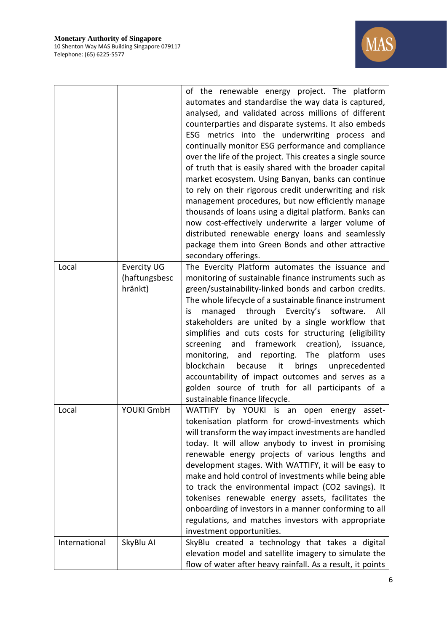

|               |                    | of the renewable energy project. The platform<br>automates and standardise the way data is captured,<br>analysed, and validated across millions of different<br>counterparties and disparate systems. It also embeds<br>ESG metrics into the underwriting process and<br>continually monitor ESG performance and compliance<br>over the life of the project. This creates a single source<br>of truth that is easily shared with the broader capital<br>market ecosystem. Using Banyan, banks can continue<br>to rely on their rigorous credit underwriting and risk<br>management procedures, but now efficiently manage<br>thousands of loans using a digital platform. Banks can<br>now cost-effectively underwrite a larger volume of<br>distributed renewable energy loans and seamlessly<br>package them into Green Bonds and other attractive<br>secondary offerings. |
|---------------|--------------------|------------------------------------------------------------------------------------------------------------------------------------------------------------------------------------------------------------------------------------------------------------------------------------------------------------------------------------------------------------------------------------------------------------------------------------------------------------------------------------------------------------------------------------------------------------------------------------------------------------------------------------------------------------------------------------------------------------------------------------------------------------------------------------------------------------------------------------------------------------------------------|
| Local         | <b>Evercity UG</b> | The Evercity Platform automates the issuance and                                                                                                                                                                                                                                                                                                                                                                                                                                                                                                                                                                                                                                                                                                                                                                                                                             |
|               | (haftungsbesc      | monitoring of sustainable finance instruments such as                                                                                                                                                                                                                                                                                                                                                                                                                                                                                                                                                                                                                                                                                                                                                                                                                        |
|               | hränkt)            | green/sustainability-linked bonds and carbon credits.<br>The whole lifecycle of a sustainable finance instrument<br>managed through Evercity's<br>software.<br>All<br>is<br>stakeholders are united by a single workflow that<br>simplifies and cuts costs for structuring (eligibility<br>framework<br>creation),<br>screening<br>and<br>issuance,<br>and reporting. The platform<br>monitoring,<br>uses<br>blockchain<br>brings<br>because<br>it<br>unprecedented<br>accountability of impact outcomes and serves as a<br>golden source of truth for all participants of a<br>sustainable finance lifecycle.                                                                                                                                                                                                                                                               |
| Local         | YOUKI GmbH         | WATTIFY by YOUKI is an open energy<br>asset-<br>tokenisation platform for crowd-investments which<br>will transform the way impact investments are handled<br>today. It will allow anybody to invest in promising<br>renewable energy projects of various lengths and<br>development stages. With WATTIFY, it will be easy to<br>make and hold control of investments while being able<br>to track the environmental impact (CO2 savings). It<br>tokenises renewable energy assets, facilitates the<br>onboarding of investors in a manner conforming to all<br>regulations, and matches investors with appropriate<br>investment opportunities.                                                                                                                                                                                                                             |
| International | SkyBlu Al          | SkyBlu created a technology that takes a digital<br>elevation model and satellite imagery to simulate the<br>flow of water after heavy rainfall. As a result, it points                                                                                                                                                                                                                                                                                                                                                                                                                                                                                                                                                                                                                                                                                                      |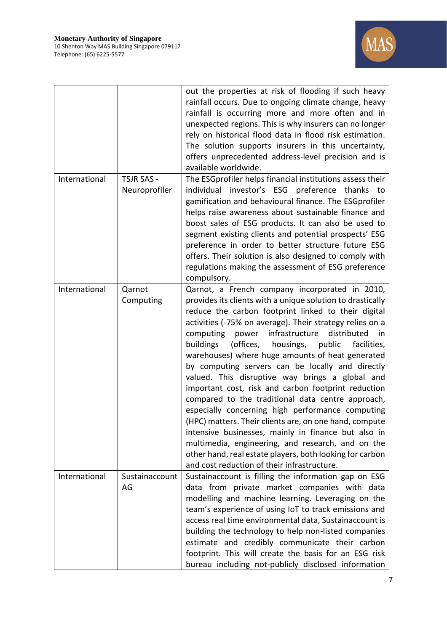

|               |                                    | out the properties at risk of flooding if such heavy<br>rainfall occurs. Due to ongoing climate change, heavy<br>rainfall is occurring more and more often and in<br>unexpected regions. This is why insurers can no longer<br>rely on historical flood data in flood risk estimation.<br>The solution supports insurers in this uncertainty,<br>offers unprecedented address-level precision and is<br>available worldwide.                                                                                                                                                                                                                                                                                                                                                                                                                                                                                                                                 |
|---------------|------------------------------------|--------------------------------------------------------------------------------------------------------------------------------------------------------------------------------------------------------------------------------------------------------------------------------------------------------------------------------------------------------------------------------------------------------------------------------------------------------------------------------------------------------------------------------------------------------------------------------------------------------------------------------------------------------------------------------------------------------------------------------------------------------------------------------------------------------------------------------------------------------------------------------------------------------------------------------------------------------------|
| International | <b>TSJR SAS -</b><br>Neuroprofiler | The ESGprofiler helps financial institutions assess their<br>individual investor's ESG preference thanks<br>to<br>gamification and behavioural finance. The ESGprofiler<br>helps raise awareness about sustainable finance and<br>boost sales of ESG products. It can also be used to<br>segment existing clients and potential prospects' ESG<br>preference in order to better structure future ESG<br>offers. Their solution is also designed to comply with<br>regulations making the assessment of ESG preference<br>compulsory.                                                                                                                                                                                                                                                                                                                                                                                                                         |
| International | Qarnot<br>Computing                | Qarnot, a French company incorporated in 2010,<br>provides its clients with a unique solution to drastically<br>reduce the carbon footprint linked to their digital<br>activities (-75% on average). Their strategy relies on a<br>computing<br>power infrastructure<br>distributed<br>in<br>buildings (offices, housings, public<br>facilities,<br>warehouses) where huge amounts of heat generated<br>by computing servers can be locally and directly<br>valued. This disruptive way brings a global and<br>important cost, risk and carbon footprint reduction<br>compared to the traditional data centre approach,<br>especially concerning high performance computing<br>(HPC) matters. Their clients are, on one hand, compute<br>intensive businesses, mainly in finance but also in<br>multimedia, engineering, and research, and on the<br>other hand, real estate players, both looking for carbon<br>and cost reduction of their infrastructure. |
| International | Sustainaccount<br>AG               | Sustainaccount is filling the information gap on ESG<br>data from private market companies with data<br>modelling and machine learning. Leveraging on the<br>team's experience of using IoT to track emissions and<br>access real time environmental data, Sustainaccount is<br>building the technology to help non-listed companies<br>estimate and credibly communicate their carbon<br>footprint. This will create the basis for an ESG risk<br>bureau including not-publicly disclosed information                                                                                                                                                                                                                                                                                                                                                                                                                                                       |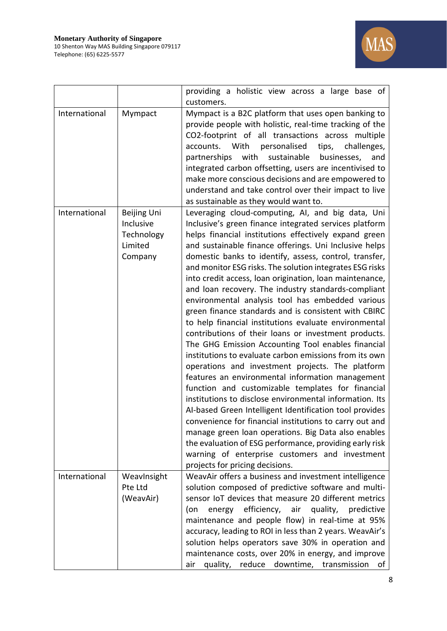

|               |                                                              | providing a holistic view across a large base of<br>customers.                                                                                                                                                                                                                                                                                                                                                                                                                                                                                                                                                                                                                                                                                                                                                                                                                                                                                                                                                                                                                                                                                                                                                                                                                                                                                                           |
|---------------|--------------------------------------------------------------|--------------------------------------------------------------------------------------------------------------------------------------------------------------------------------------------------------------------------------------------------------------------------------------------------------------------------------------------------------------------------------------------------------------------------------------------------------------------------------------------------------------------------------------------------------------------------------------------------------------------------------------------------------------------------------------------------------------------------------------------------------------------------------------------------------------------------------------------------------------------------------------------------------------------------------------------------------------------------------------------------------------------------------------------------------------------------------------------------------------------------------------------------------------------------------------------------------------------------------------------------------------------------------------------------------------------------------------------------------------------------|
| International | Mympact                                                      | Mympact is a B2C platform that uses open banking to<br>provide people with holistic, real-time tracking of the<br>CO2-footprint of all transactions across multiple<br>accounts. With<br>personalised<br>tips,<br>challenges,<br>partnerships with sustainable businesses,<br>and<br>integrated carbon offsetting, users are incentivised to<br>make more conscious decisions and are empowered to<br>understand and take control over their impact to live<br>as sustainable as they would want to.                                                                                                                                                                                                                                                                                                                                                                                                                                                                                                                                                                                                                                                                                                                                                                                                                                                                     |
| International | Beijing Uni<br>Inclusive<br>Technology<br>Limited<br>Company | Leveraging cloud-computing, AI, and big data, Uni<br>Inclusive's green finance integrated services platform<br>helps financial institutions effectively expand green<br>and sustainable finance offerings. Uni Inclusive helps<br>domestic banks to identify, assess, control, transfer,<br>and monitor ESG risks. The solution integrates ESG risks<br>into credit access, loan origination, loan maintenance,<br>and loan recovery. The industry standards-compliant<br>environmental analysis tool has embedded various<br>green finance standards and is consistent with CBIRC<br>to help financial institutions evaluate environmental<br>contributions of their loans or investment products.<br>The GHG Emission Accounting Tool enables financial<br>institutions to evaluate carbon emissions from its own<br>operations and investment projects. The platform<br>features an environmental information management<br>function and customizable templates for financial<br>institutions to disclose environmental information. Its<br>Al-based Green Intelligent Identification tool provides<br>convenience for financial institutions to carry out and<br>manage green loan operations. Big Data also enables<br>the evaluation of ESG performance, providing early risk<br>warning of enterprise customers and investment<br>projects for pricing decisions. |
| International | WeavInsight<br>Pte Ltd<br>(WeavAir)                          | WeavAir offers a business and investment intelligence<br>solution composed of predictive software and multi-<br>sensor IoT devices that measure 20 different metrics<br>energy efficiency, air quality, predictive<br>(on<br>maintenance and people flow) in real-time at 95%<br>accuracy, leading to ROI in less than 2 years. WeavAir's<br>solution helps operators save 30% in operation and<br>maintenance costs, over 20% in energy, and improve<br>quality, reduce downtime, transmission<br>of<br>air                                                                                                                                                                                                                                                                                                                                                                                                                                                                                                                                                                                                                                                                                                                                                                                                                                                             |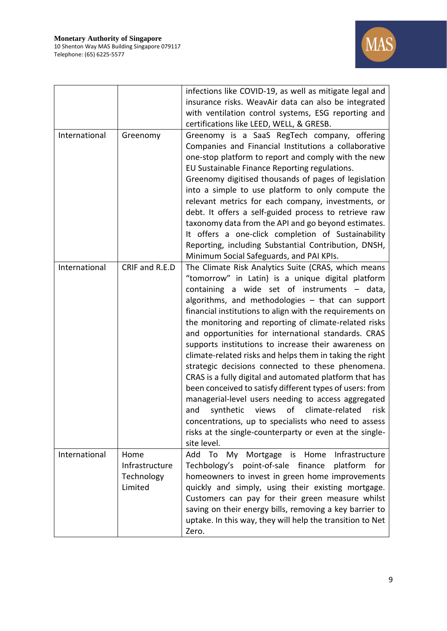

|               |                                                 | infections like COVID-19, as well as mitigate legal and<br>insurance risks. WeavAir data can also be integrated<br>with ventilation control systems, ESG reporting and<br>certifications like LEED, WELL, & GRESB.                                                                                                                                                                                                                                                                                                                                                                                                                                                                                                                                                                                                                                                                                                                              |
|---------------|-------------------------------------------------|-------------------------------------------------------------------------------------------------------------------------------------------------------------------------------------------------------------------------------------------------------------------------------------------------------------------------------------------------------------------------------------------------------------------------------------------------------------------------------------------------------------------------------------------------------------------------------------------------------------------------------------------------------------------------------------------------------------------------------------------------------------------------------------------------------------------------------------------------------------------------------------------------------------------------------------------------|
| International | Greenomy                                        | Greenomy is a SaaS RegTech company, offering<br>Companies and Financial Institutions a collaborative<br>one-stop platform to report and comply with the new<br>EU Sustainable Finance Reporting regulations.<br>Greenomy digitised thousands of pages of legislation<br>into a simple to use platform to only compute the<br>relevant metrics for each company, investments, or<br>debt. It offers a self-guided process to retrieve raw<br>taxonomy data from the API and go beyond estimates.<br>It offers a one-click completion of Sustainability<br>Reporting, including Substantial Contribution, DNSH,<br>Minimum Social Safeguards, and PAI KPIs.                                                                                                                                                                                                                                                                                       |
| International | CRIF and R.E.D                                  | The Climate Risk Analytics Suite (CRAS, which means<br>"tomorrow" in Latin) is a unique digital platform<br>containing a wide set of instruments - data,<br>algorithms, and methodologies - that can support<br>financial institutions to align with the requirements on<br>the monitoring and reporting of climate-related risks<br>and opportunities for international standards. CRAS<br>supports institutions to increase their awareness on<br>climate-related risks and helps them in taking the right<br>strategic decisions connected to these phenomena.<br>CRAS is a fully digital and automated platform that has<br>been conceived to satisfy different types of users: from<br>managerial-level users needing to access aggregated<br>of<br>climate-related<br>synthetic<br>views<br>risk<br>and<br>concentrations, up to specialists who need to assess<br>risks at the single-counterparty or even at the single-<br>site level. |
| International | Home<br>Infrastructure<br>Technology<br>Limited | Add To<br>Infrastructure<br>Mortgage<br>is Home<br>My<br>Techbology's<br>point-of-sale finance<br>platform<br>for<br>homeowners to invest in green home improvements<br>quickly and simply, using their existing mortgage.<br>Customers can pay for their green measure whilst<br>saving on their energy bills, removing a key barrier to<br>uptake. In this way, they will help the transition to Net<br>Zero.                                                                                                                                                                                                                                                                                                                                                                                                                                                                                                                                 |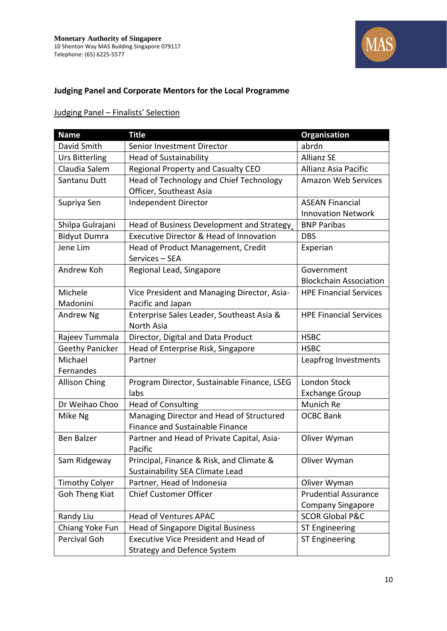

# **Judging Panel and Corporate Mentors for the Local Programme**

# Judging Panel – Finalists' Selection

| <b>Name</b>            | <b>Title</b>                                | <b>Organisation</b>           |
|------------------------|---------------------------------------------|-------------------------------|
| David Smith            | Senior Investment Director                  | abrdn                         |
| <b>Urs Bitterling</b>  | <b>Head of Sustainability</b>               | <b>Allianz SE</b>             |
| Claudia Salem          | Regional Property and Casualty CEO          | Allianz Asia Pacific          |
| Santanu Dutt           | Head of Technology and Chief Technology     | <b>Amazon Web Services</b>    |
|                        | Officer, Southeast Asia                     |                               |
| Supriya Sen            | Independent Director                        | <b>ASEAN Financial</b>        |
|                        |                                             | <b>Innovation Network</b>     |
| Shilpa Gulrajani       | Head of Business Development and Strategy   | <b>BNP Paribas</b>            |
| <b>Bidyut Dumra</b>    | Executive Director & Head of Innovation     | <b>DBS</b>                    |
| Jene Lim               | Head of Product Management, Credit          | Experian                      |
|                        | Services - SEA                              |                               |
| Andrew Koh             | Regional Lead, Singapore                    | Government                    |
|                        |                                             | <b>Blockchain Association</b> |
| Michele                | Vice President and Managing Director, Asia- | <b>HPE Financial Services</b> |
| Madonini               | Pacific and Japan                           |                               |
| Andrew Ng              | Enterprise Sales Leader, Southeast Asia &   | <b>HPE Financial Services</b> |
|                        | North Asia                                  |                               |
| Rajeev Tummala         | Director, Digital and Data Product          | <b>HSBC</b>                   |
| <b>Geethy Panicker</b> | Head of Enterprise Risk, Singapore          | <b>HSBC</b>                   |
| Michael                | Partner                                     | Leapfrog Investments          |
| Fernandes              |                                             |                               |
| <b>Allison Ching</b>   | Program Director, Sustainable Finance, LSEG | London Stock                  |
|                        | labs                                        | <b>Exchange Group</b>         |
| Dr Weihao Choo         | <b>Head of Consulting</b>                   | Munich Re                     |
| Mike Ng                | Managing Director and Head of Structured    | <b>OCBC Bank</b>              |
|                        | Finance and Sustainable Finance             |                               |
| <b>Ben Balzer</b>      | Partner and Head of Private Capital, Asia-  | Oliver Wyman                  |
|                        | Pacific                                     |                               |
| Sam Ridgeway           | Principal, Finance & Risk, and Climate &    | Oliver Wyman                  |
|                        | Sustainability SEA Climate Lead             |                               |
| <b>Timothy Colyer</b>  | Partner, Head of Indonesia                  | Oliver Wyman                  |
| Goh Theng Kiat         | Chief Customer Officer                      | <b>Prudential Assurance</b>   |
|                        |                                             | <b>Company Singapore</b>      |
| Randy Liu              | <b>Head of Ventures APAC</b>                | <b>SCOR Global P&amp;C</b>    |
| Chiang Yoke Fun        | <b>Head of Singapore Digital Business</b>   | ST Engineering                |
| Percival Goh           | <b>Executive Vice President and Head of</b> | ST Engineering                |
|                        | <b>Strategy and Defence System</b>          |                               |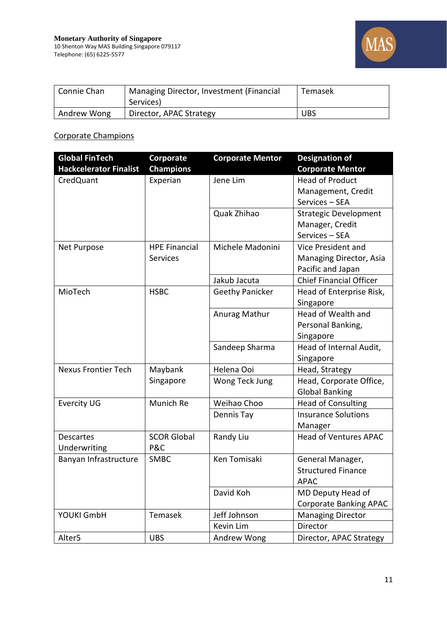

| Connie Chan | Managing Director, Investment (Financial<br>Services) | Temasek    |
|-------------|-------------------------------------------------------|------------|
| Andrew Wong | Director, APAC Strategy                               | <b>UBS</b> |

### Corporate Champions

| <b>Global FinTech</b>         | Corporate            | <b>Corporate Mentor</b> | <b>Designation of</b>          |
|-------------------------------|----------------------|-------------------------|--------------------------------|
| <b>Hackcelerator Finalist</b> | <b>Champions</b>     |                         | <b>Corporate Mentor</b>        |
| CredQuant                     | Experian             | Jene Lim                | <b>Head of Product</b>         |
|                               |                      |                         | Management, Credit             |
|                               |                      |                         | Services - SEA                 |
|                               |                      | Quak Zhihao             | <b>Strategic Development</b>   |
|                               |                      |                         | Manager, Credit                |
|                               |                      |                         | Services - SEA                 |
| Net Purpose                   | <b>HPE Financial</b> | Michele Madonini        | Vice President and             |
|                               | <b>Services</b>      |                         | Managing Director, Asia        |
|                               |                      |                         | Pacific and Japan              |
|                               |                      | Jakub Jacuta            | <b>Chief Financial Officer</b> |
| MioTech                       | <b>HSBC</b>          | <b>Geethy Panicker</b>  | Head of Enterprise Risk,       |
|                               |                      |                         | Singapore                      |
|                               |                      | Anurag Mathur           | Head of Wealth and             |
|                               |                      |                         | Personal Banking,              |
|                               |                      |                         | Singapore                      |
|                               |                      | Sandeep Sharma          | Head of Internal Audit,        |
|                               |                      |                         | Singapore                      |
| <b>Nexus Frontier Tech</b>    | Maybank              | Helena Ooi              | Head, Strategy                 |
|                               | Singapore            | Wong Teck Jung          | Head, Corporate Office,        |
|                               |                      |                         | <b>Global Banking</b>          |
| <b>Evercity UG</b>            | Munich Re            | Weihao Choo             | <b>Head of Consulting</b>      |
|                               |                      | Dennis Tay              | <b>Insurance Solutions</b>     |
|                               |                      |                         | Manager                        |
| <b>Descartes</b>              | <b>SCOR Global</b>   | Randy Liu               | <b>Head of Ventures APAC</b>   |
| Underwriting                  | P&C                  |                         |                                |
| Banyan Infrastructure         | <b>SMBC</b>          | Ken Tomisaki            | General Manager,               |
|                               |                      |                         | <b>Structured Finance</b>      |
|                               |                      |                         | <b>APAC</b>                    |
|                               |                      | David Koh               | MD Deputy Head of              |
|                               |                      |                         | <b>Corporate Banking APAC</b>  |
| YOUKI GmbH                    | Temasek              | Jeff Johnson            | <b>Managing Director</b>       |
|                               |                      | Kevin Lim               | Director                       |
| Alter <sub>5</sub>            | <b>UBS</b>           | Andrew Wong             | Director, APAC Strategy        |